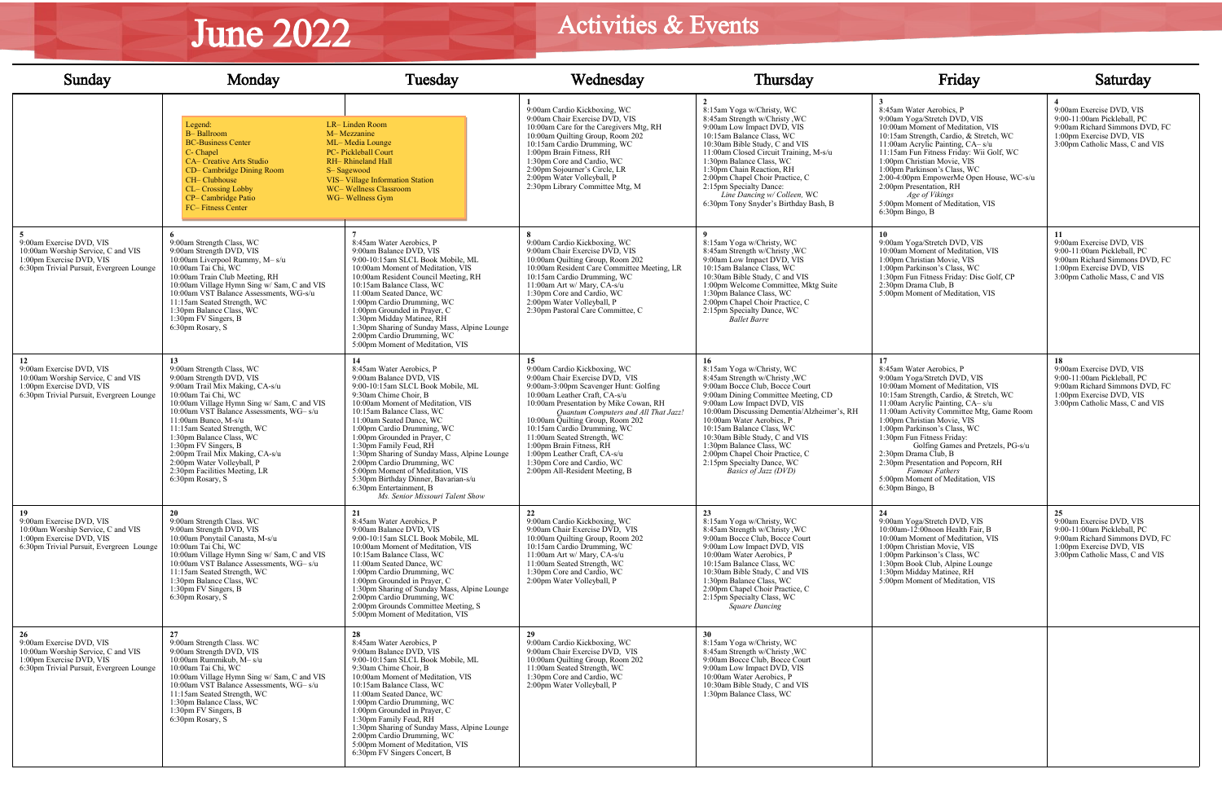| Sunday                                                                                                                                       | Monday                                                                                                                                                                                                                                                                                                                                                                                                                                                         | Tuesday                                                                                                                                                                                                                                                                                                                                                                                                                                                                                                                               | Wednesday                                                                                                                                                                                                                                                                                                                                                                                                                                                      | Thursday                                                                                                                                                                                                                                                                                                                                                                                                                          | Friday                                                                                                                                                                                                                                                                                                                                                                                                                                                                                                               | Saturday                                                                                                                                                       |
|----------------------------------------------------------------------------------------------------------------------------------------------|----------------------------------------------------------------------------------------------------------------------------------------------------------------------------------------------------------------------------------------------------------------------------------------------------------------------------------------------------------------------------------------------------------------------------------------------------------------|---------------------------------------------------------------------------------------------------------------------------------------------------------------------------------------------------------------------------------------------------------------------------------------------------------------------------------------------------------------------------------------------------------------------------------------------------------------------------------------------------------------------------------------|----------------------------------------------------------------------------------------------------------------------------------------------------------------------------------------------------------------------------------------------------------------------------------------------------------------------------------------------------------------------------------------------------------------------------------------------------------------|-----------------------------------------------------------------------------------------------------------------------------------------------------------------------------------------------------------------------------------------------------------------------------------------------------------------------------------------------------------------------------------------------------------------------------------|----------------------------------------------------------------------------------------------------------------------------------------------------------------------------------------------------------------------------------------------------------------------------------------------------------------------------------------------------------------------------------------------------------------------------------------------------------------------------------------------------------------------|----------------------------------------------------------------------------------------------------------------------------------------------------------------|
|                                                                                                                                              | Legend:<br><b>B-Ballroom</b><br><b>BC-Business Center</b><br>C- Chapel<br><b>CA– Creative Arts Studio</b><br>CD- Cambridge Dining Room<br>CH-Clubhouse<br><b>CL-Crossing Lobby</b><br>CP-Cambridge Patio<br><b>FC-Fitness Center</b>                                                                                                                                                                                                                           | LR-Linden Room<br>M-Mezzanine<br>ML-Media Lounge<br>PC- Pickleball Court<br><b>RH-</b> Rhineland Hall<br>S-Sagewood<br>VIS-Village Information Station<br>WC-Wellness Classroom<br>WG-Wellness Gym                                                                                                                                                                                                                                                                                                                                    | 9:00am Cardio Kickboxing, WC<br>9:00am Chair Exercise DVD, VIS<br>10:00am Care for the Caregivers Mtg, RH<br>10:00am Quilting Group, Room 202<br>10:15am Cardio Drumming, WC<br>1:00pm Brain Fitness, RH<br>1:30pm Core and Cardio, WC<br>2:00pm Sojourner's Circle, LR<br>2:00pm Water Volleyball, P<br>2:30pm Library Committee Mtg, M                                                                                                                       | 8:15am Yoga w/Christy, WC<br>8:45am Strength w/Christy, WC<br>9:00am Low Impact DVD, VIS<br>10:15am Balance Class, WC<br>10:30am Bible Study, C and VIS<br>11:00am Closed Circuit Training, M-s/u<br>1:30pm Balance Class, WC<br>1:30pm Chain Reaction, RH<br>2:00pm Chapel Choir Practice, C<br>2:15pm Specialty Dance:<br>Line Dancing w/ Colleen, WC<br>6:30pm Tony Snyder's Birthday Bash, B                                  | 8:45am Water Aerobics, P<br>9:00am Yoga/Stretch DVD, VIS<br>10:00am Moment of Meditation, VIS<br>10:15am Strength, Cardio, & Stretch, WC<br>11:00am Acrylic Painting, CA-s/u<br>11:15am Fun Fitness Friday: Wii Golf, WC<br>1:00pm Christian Movie, VIS<br>1:00pm Parkinson's Class, WC<br>2:00-4:00pm EmpowerMe Open House, WC-s/u<br>2:00pm Presentation, RH<br>Age of Vikings<br>5:00pm Moment of Meditation, VIS<br>$6:30$ pm Bingo, B                                                                           | 9:00am Exercise DVD, VIS<br>9:00-11:00am Pickleball, PC<br>9:00am Richard Simmons DVD, FC<br>1:00pm Exercise DVD, VIS<br>3:00pm Catholic Mass, C and VIS       |
| 9:00am Exercise DVD, VIS<br>10:00am Worship Service, C and VIS<br>1:00pm Exercise DVD, VIS<br>6:30pm Trivial Pursuit, Evergreen Lounge       | 9:00am Strength Class, WC<br>9:00am Strength DVD, VIS<br>10:00am Liverpool Rummy, M- s/u<br>10:00am Tai Chi, WC<br>10:00am Train Club Meeting, RH<br>10:00am Village Hymn Sing w/ Sam, C and VIS<br>10:00am VST Balance Assessments, WG-s/u<br>11:15am Seated Strength, WC<br>1:30pm Balance Class, WC<br>1:30pm FV Singers, $B$<br>6:30pm Rosary, S                                                                                                           | 8:45am Water Aerobics, P<br>9:00am Balance DVD, VIS<br>9:00-10:15am SLCL Book Mobile, ML<br>10:00am Moment of Meditation, VIS<br>10:00am Resident Council Meeting, RH<br>10:15am Balance Class, WC<br>11:00am Seated Dance, WC<br>1:00pm Cardio Drumming, WC<br>1:00pm Grounded in Prayer, C<br>1:30pm Midday Matinee, RH<br>1:30pm Sharing of Sunday Mass, Alpine Lounge<br>2:00pm Cardio Drumming, WC<br>5:00pm Moment of Meditation, VIS                                                                                           | 9:00am Cardio Kickboxing, WC<br>9:00am Chair Exercise DVD, VIS<br>10:00am Quilting Group, Room 202<br>10:00am Resident Care Committee Meeting, LR<br>10:15am Cardio Drumming, WC<br>11:00am Art w/ Mary, CA-s/u<br>1:30pm Core and Cardio, WC<br>2:00pm Water Volleyball, P<br>2:30pm Pastoral Care Committee, C                                                                                                                                               | 8:15am Yoga w/Christy, WC<br>8:45am Strength w/Christy, WC<br>9:00am Low Impact DVD, VIS<br>10:15am Balance Class, WC<br>10:30am Bible Study, C and VIS<br>1:00pm Welcome Committee, Mktg Suite<br>1:30pm Balance Class, WC<br>2:00pm Chapel Choir Practice, C<br>2:15pm Specialty Dance, WC<br>Ballet Barre                                                                                                                      | 9:00am Yoga/Stretch DVD, VIS<br>10:00am Moment of Meditation, VIS<br>1:00pm Christian Movie, VIS<br>1:00pm Parkinson's Class, WC<br>1:30pm Fun Fitness Friday: Disc Golf, CP<br>2:30pm Drama Club, B<br>5:00pm Moment of Meditation, VIS                                                                                                                                                                                                                                                                             | 9:00am Exercise DVD, VIS<br>9:00-11:00am Pickleball, PC<br>9:00am Richard Simmons DVD, FC<br>1:00pm Exercise DVD, VIS<br>3:00pm Catholic Mass, C and VIS       |
| 12<br>9:00am Exercise DVD, VIS<br>10:00am Worship Service, C and VIS<br>1:00pm Exercise DVD, VIS<br>6:30pm Trivial Pursuit, Evergreen Lounge | 13 <sup>7</sup><br>9:00am Strength Class, WC<br>9:00am Strength DVD, VIS<br>9:00am Trail Mix Making, CA-s/u<br>10:00am Tai Chi, WC<br>10:00am Village Hymn Sing w/ Sam, C and VIS<br>10:00am VST Balance Assessments, WG- s/u<br>11:00am Bunco, M-s/u<br>11:15am Seated Strength, WC<br>1:30pm Balance Class, WC<br>1:30pm FV Singers, B<br>2:00pm Trail Mix Making, CA-s/u<br>2:00pm Water Volleyball, P<br>2:30pm Facilities Meeting, LR<br>6:30pm Rosary, S | 14<br>8:45am Water Aerobics, P<br>9:00am Balance DVD, VIS<br>9:00-10:15am SLCL Book Mobile, ML<br>9:30am Chime Choir, B<br>10:00am Moment of Meditation, VIS<br>10:15am Balance Class, WC<br>11:00am Seated Dance, WC<br>1:00pm Cardio Drumming, WC<br>1:00pm Grounded in Prayer, C<br>1:30pm Family Feud, RH<br>1:30pm Sharing of Sunday Mass, Alpine Lounge<br>2:00pm Cardio Drumming, WC<br>5:00pm Moment of Meditation, VIS<br>5:30pm Birthday Dinner, Bavarian-s/u<br>6:30pm Entertainment, B<br>Ms. Senior Missouri Talent Show | 15<br>9:00am Cardio Kickboxing, WC<br>9:00am Chair Exercise DVD, VIS<br>9:00am-3:00pm Scavenger Hunt: Golfing<br>10:00am Leather Craft, CA-s/u<br>10:00am Presentation by Mike Cowan, RH<br>Ouantum Computers and All That Jazz!<br>10:00am Quilting Group, Room 202<br>10:15am Cardio Drumming, WC<br>11:00am Seated Strength, WC<br>1:00pm Brain Fitness, RH<br>1:00pm Leather Craft, CA-s/u<br>1:30pm Core and Cardio, WC<br>2:00pm All-Resident Meeting, B | 8:15am Yoga w/Christy, WC<br>8:45am Strength w/Christy, WC<br>9:00am Bocce Club, Bocce Court<br>9:00am Dining Committee Meeting, CD<br>9:00am Low Impact DVD, VIS<br>10:00am Discussing Dementia/Alzheimer's, RH<br>10:00am Water Aerobics, P<br>10:15am Balance Class, WC<br>10:30am Bible Study, C and VIS<br>1:30pm Balance Class, WC<br>2:00pm Chapel Choir Practice, C<br>2:15pm Specialty Dance, WC<br>Basics of Jazz (DVD) | 17<br>8:45am Water Aerobics, P<br>9:00am Yoga/Stretch DVD, VIS<br>10:00am Moment of Meditation, VIS<br>10:15am Strength, Cardio, & Stretch, WC<br>11:00am Acrylic Painting, CA-s/u<br>11:00am Activity Committee Mtg, Game Room<br>1:00pm Christian Movie, VIS<br>1:00pm Parkinson's Class, WC<br>1:30pm Fun Fitness Friday:<br>Golfing Games and Pretzels, PG-s/u<br>2:30pm Drama Club, B<br>2:30pm Presentation and Popcorn, RH<br><b>Famous Fathers</b><br>5:00pm Moment of Meditation, VIS<br>$6:30$ pm Bingo, B | 9:00am Exercise DVD, VIS<br>9:00-11:00am Pickleball, PC<br>9:00am Richard Simmons DVD, FC<br>1:00pm Exercise DVD, VIS<br>3:00pm Catholic Mass, C and VIS       |
| 19<br>9:00am Exercise DVD, VIS<br>10:00am Worship Service, C and VIS<br>1:00pm Exercise DVD, VIS<br>6:30pm Trivial Pursuit, Evergreen Lounge | 20<br>9:00am Strength Class. WC<br>9:00am Strength DVD, VIS<br>10:00am Ponytail Canasta, M-s/u<br>10:00am Tai Chi, WC<br>10:00am Village Hymn Sing w/ Sam, C and VIS<br>10:00am VST Balance Assessments, WG- s/u<br>11:15am Seated Strength, WC<br>1:30pm Balance Class, WC<br>1:30pm FV Singers, B<br>6:30pm Rosary, S                                                                                                                                        | 21<br>8:45am Water Aerobics, P<br>9:00am Balance DVD, VIS<br>9:00-10:15am SLCL Book Mobile, ML<br>10:00am Moment of Meditation, VIS<br>10:15am Balance Class, WC<br>11:00am Seated Dance, WC<br>1:00pm Cardio Drumming, WC<br>1:00pm Grounded in Prayer, C<br>1:30pm Sharing of Sunday Mass, Alpine Lounge<br>2:00pm Cardio Drumming, WC<br>2:00pm Grounds Committee Meeting, S<br>5:00pm Moment of Meditation, VIS                                                                                                                   | 22<br>9:00am Cardio Kickboxing, WC<br>9:00am Chair Exercise DVD, VIS<br>10:00am Quilting Group, Room 202<br>10:15am Cardio Drumming, WC<br>11:00am Art w/ Mary, CA-s/u<br>11:00am Seated Strength, WC<br>1:30pm Core and Cardio, WC<br>2:00pm Water Volleyball, P                                                                                                                                                                                              | 23<br>8:15am Yoga w/Christy, WC<br>8:45am Strength w/Christy, WC<br>9:00am Bocce Club, Bocce Court<br>9:00am Low Impact DVD, VIS<br>10:00am Water Aerobics, P<br>10:15am Balance Class, WC<br>10:30am Bible Study, C and VIS<br>1:30pm Balance Class, WC<br>2:00pm Chapel Choir Practice, C<br>2:15pm Specialty Class, WC<br><b>Square Dancing</b>                                                                                | 24<br>9:00am Yoga/Stretch DVD, VIS<br>10:00am-12:00noon Health Fair, B<br>10:00am Moment of Meditation, VIS<br>1:00pm Christian Movie, VIS<br>1:00pm Parkinson's Class, WC<br>1:30pm Book Club, Alpine Lounge<br>1:30pm Midday Matinee, RH<br>5:00pm Moment of Meditation, VIS                                                                                                                                                                                                                                       | 25<br>9:00am Exercise DVD, VIS<br>9:00-11:00am Pickleball. PC<br>9:00am Richard Simmons DVD, FC<br>1:00pm Exercise DVD, VIS<br>3:00pm Catholic Mass, C and VIS |
| 26<br>9:00am Exercise DVD, VIS<br>10:00am Worship Service, C and VIS<br>1:00pm Exercise DVD, VIS<br>6:30pm Trivial Pursuit, Evergreen Lounge | 27<br>9:00am Strength Class. WC<br>9:00am Strength DVD, VIS<br>10:00am Rummikub, M- s/u<br>10:00am Tai Chi, WC<br>10:00am Village Hymn Sing w/ Sam, C and VIS<br>10:00am VST Balance Assessments, WG- s/u<br>11:15am Seated Strength, WC<br>1:30pm Balance Class, WC<br>1:30pm FV Singers, B<br>6:30pm Rosary, S                                                                                                                                               | 28<br>8:45am Water Aerobics, P<br>9:00am Balance DVD, VIS<br>9:00-10:15am SLCL Book Mobile, ML<br>9:30am Chime Choir, B<br>10:00am Moment of Meditation, VIS<br>10:15am Balance Class, WC<br>11:00am Seated Dance, WC<br>1:00pm Cardio Drumming, WC<br>1:00pm Grounded in Prayer, C<br>1:30pm Family Feud, RH<br>1:30pm Sharing of Sunday Mass, Alpine Lounge<br>2:00pm Cardio Drumming, WC<br>5:00pm Moment of Meditation, VIS<br>6:30pm FV Singers Concert, B                                                                       | 29<br>9:00am Cardio Kickboxing, WC<br>9:00am Chair Exercise DVD, VIS<br>10:00am Quilting Group, Room 202<br>11:00am Seated Strength, WC<br>1:30pm Core and Cardio, WC<br>2:00pm Water Volleyball, P                                                                                                                                                                                                                                                            | 30<br>8:15am Yoga w/Christy, WC<br>8:45am Strength w/Christy, WC<br>9:00am Bocce Club, Bocce Court<br>9:00am Low Impact DVD, VIS<br>10:00am Water Aerobics, P<br>10:30am Bible Study, C and VIS<br>1:30pm Balance Class, WC                                                                                                                                                                                                       |                                                                                                                                                                                                                                                                                                                                                                                                                                                                                                                      |                                                                                                                                                                |

## June 2022

## Activities & Events